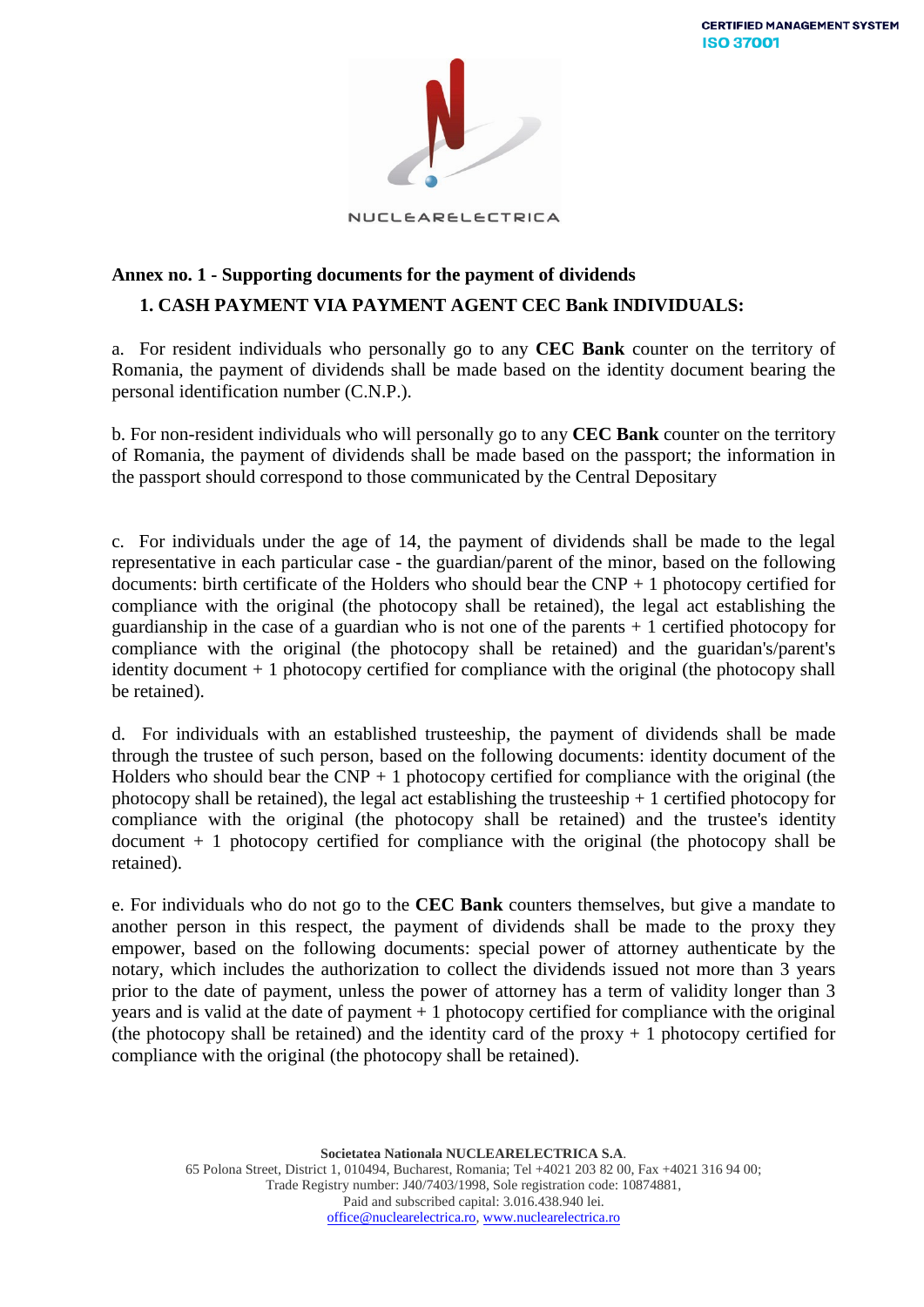

NUCLEARELECTRICA

## **Annex no. 1 - Supporting documents for the payment of dividends 1. CASH PAYMENT VIA PAYMENT AGENT CEC Bank INDIVIDUALS:**

a. For resident individuals who personally go to any **CEC Bank** counter on the territory of Romania, the payment of dividends shall be made based on the identity document bearing the personal identification number (C.N.P.).

b. For non-resident individuals who will personally go to any **CEC Bank** counter on the territory of Romania, the payment of dividends shall be made based on the passport; the information in the passport should correspond to those communicated by the Central Depositary

c. For individuals under the age of 14, the payment of dividends shall be made to the legal representative in each particular case - the guardian/parent of the minor, based on the following documents: birth certificate of the Holders who should bear the  $CNP + 1$  photocopy certified for compliance with the original (the photocopy shall be retained), the legal act establishing the guardianship in the case of a guardian who is not one of the parents  $+1$  certified photocopy for compliance with the original (the photocopy shall be retained) and the guaridan's/parent's identity document + 1 photocopy certified for compliance with the original (the photocopy shall be retained).

d. For individuals with an established trusteeship, the payment of dividends shall be made through the trustee of such person, based on the following documents: identity document of the Holders who should bear the  $CNP + 1$  photocopy certified for compliance with the original (the photocopy shall be retained), the legal act establishing the trusteeship  $+1$  certified photocopy for compliance with the original (the photocopy shall be retained) and the trustee's identity  $document + 1 photocopy certified for compliance with the original (the photocopy shall be)$ retained).

e. For individuals who do not go to the **CEC Bank** counters themselves, but give a mandate to another person in this respect, the payment of dividends shall be made to the proxy they empower, based on the following documents: special power of attorney authenticate by the notary, which includes the authorization to collect the dividends issued not more than 3 years prior to the date of payment, unless the power of attorney has a term of validity longer than 3 years and is valid at the date of payment  $+1$  photocopy certified for compliance with the original (the photocopy shall be retained) and the identity card of the proxy  $+1$  photocopy certified for compliance with the original (the photocopy shall be retained).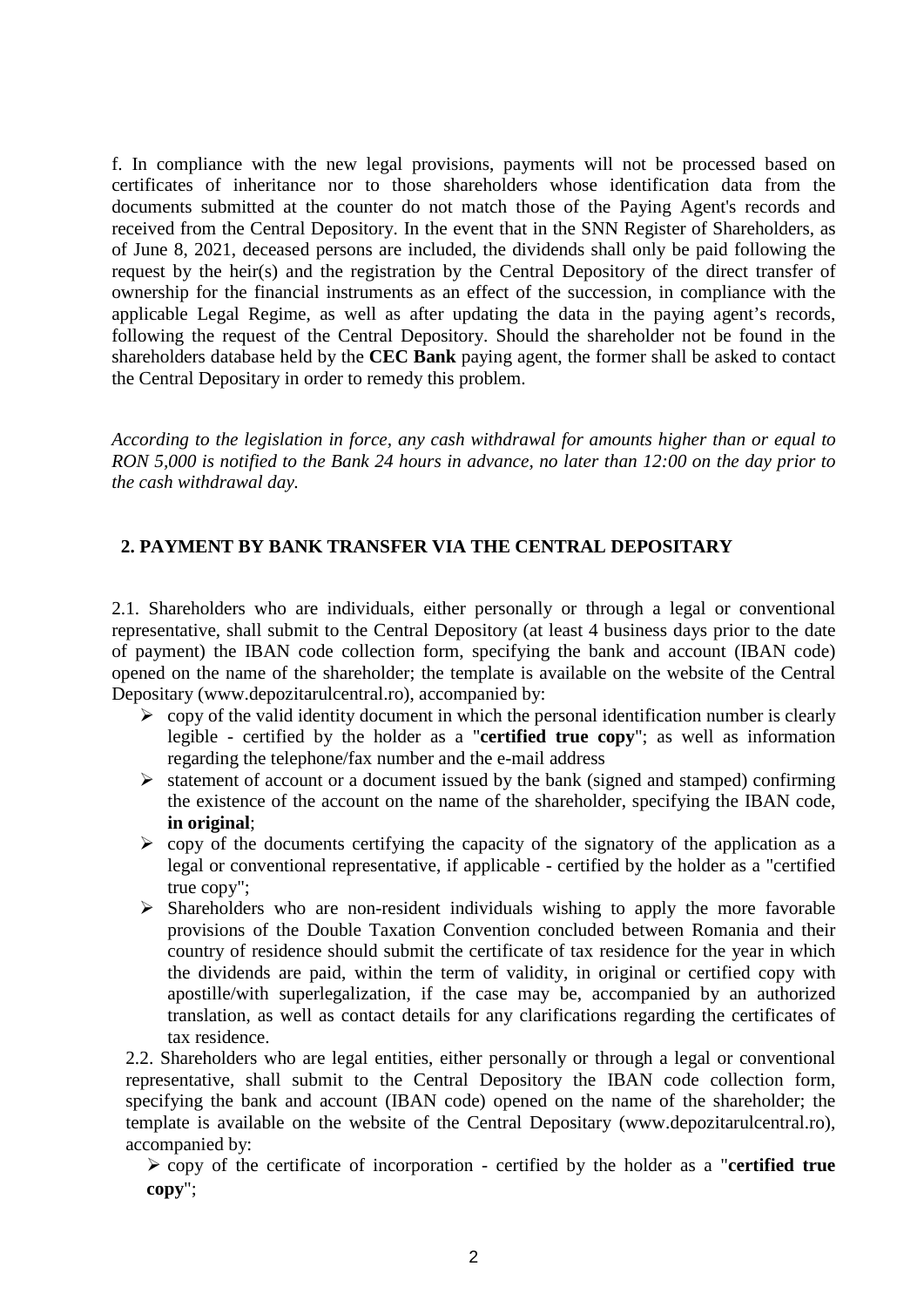f. In compliance with the new legal provisions, payments will not be processed based on certificates of inheritance nor to those shareholders whose identification data from the documents submitted at the counter do not match those of the Paying Agent's records and received from the Central Depository. In the event that in the SNN Register of Shareholders, as of June 8, 2021, deceased persons are included, the dividends shall only be paid following the request by the heir(s) and the registration by the Central Depository of the direct transfer of ownership for the financial instruments as an effect of the succession, in compliance with the applicable Legal Regime, as well as after updating the data in the paying agent's records, following the request of the Central Depository. Should the shareholder not be found in the shareholders database held by the **CEC Bank** paying agent, the former shall be asked to contact the Central Depositary in order to remedy this problem.

*According to the legislation in force, any cash withdrawal for amounts higher than or equal to RON 5,000 is notified to the Bank 24 hours in advance, no later than 12:00 on the day prior to the cash withdrawal day.* 

## **2. PAYMENT BY BANK TRANSFER VIA THE CENTRAL DEPOSITARY**

2.1. Shareholders who are individuals, either personally or through a legal or conventional representative, shall submit to the Central Depository (at least 4 business days prior to the date of payment) the IBAN code collection form, specifying the bank and account (IBAN code) opened on the name of the shareholder; the template is available on the website of the Central Depositary (www.depozitarulcentral.ro), accompanied by:

- $\triangleright$  copy of the valid identity document in which the personal identification number is clearly legible - certified by the holder as a "**certified true copy**"; as well as information regarding the telephone/fax number and the e-mail address
- $\triangleright$  statement of account or a document issued by the bank (signed and stamped) confirming the existence of the account on the name of the shareholder, specifying the IBAN code, **in original**;
- $\triangleright$  copy of the documents certifying the capacity of the signatory of the application as a legal or conventional representative, if applicable - certified by the holder as a "certified true copy";
- $\triangleright$  Shareholders who are non-resident individuals wishing to apply the more favorable provisions of the Double Taxation Convention concluded between Romania and their country of residence should submit the certificate of tax residence for the year in which the dividends are paid, within the term of validity, in original or certified copy with apostille/with superlegalization, if the case may be, accompanied by an authorized translation, as well as contact details for any clarifications regarding the certificates of tax residence.

2.2. Shareholders who are legal entities, either personally or through a legal or conventional representative, shall submit to the Central Depository the IBAN code collection form, specifying the bank and account (IBAN code) opened on the name of the shareholder; the template is available on the website of the Central Depositary (www.depozitarulcentral.ro), accompanied by:

 copy of the certificate of incorporation - certified by the holder as a "**certified true copy**";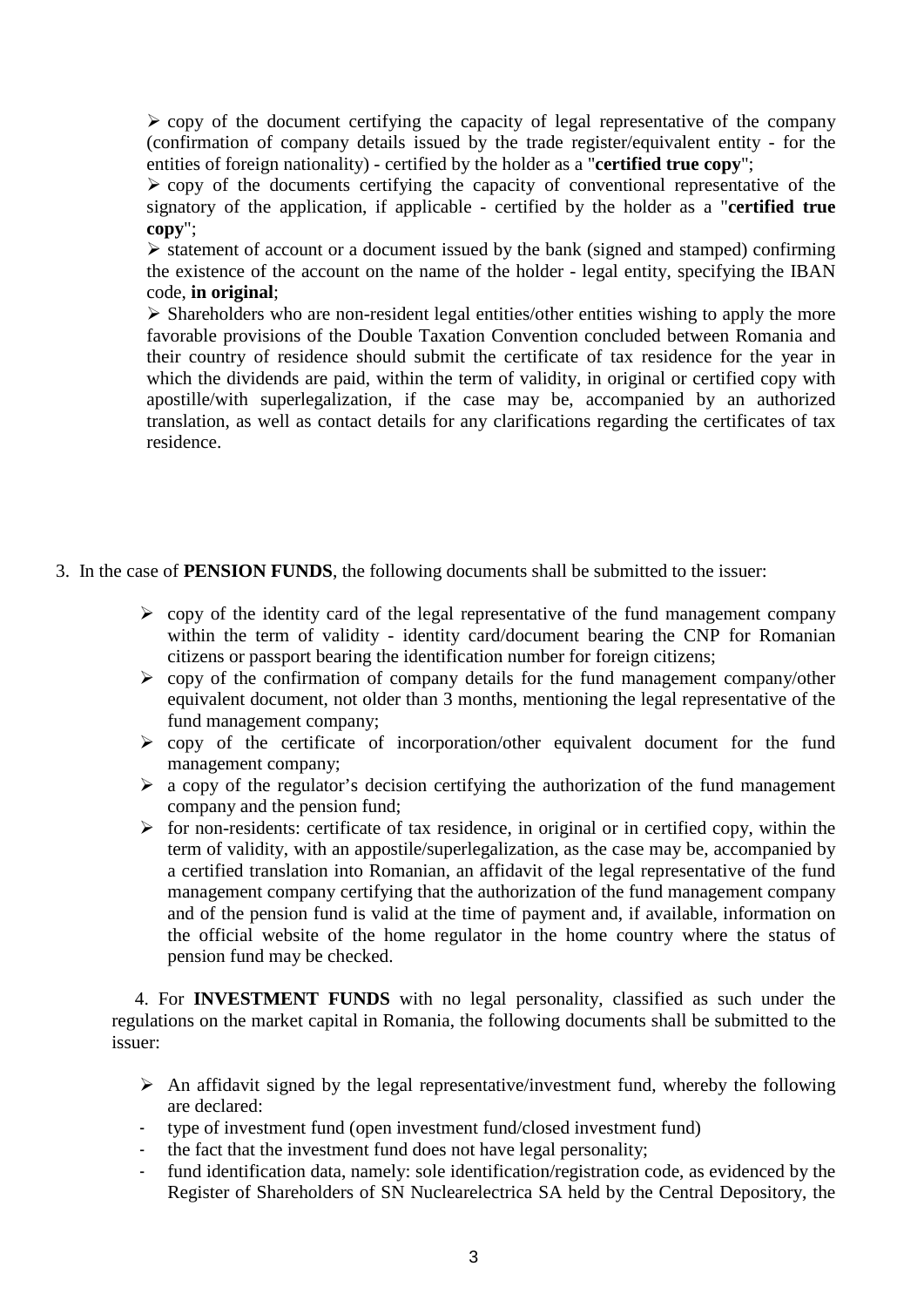$\triangleright$  copy of the document certifying the capacity of legal representative of the company (confirmation of company details issued by the trade register/equivalent entity - for the entities of foreign nationality) - certified by the holder as a "**certified true copy**";

 $\triangleright$  copy of the documents certifying the capacity of conventional representative of the signatory of the application, if applicable - certified by the holder as a "**certified true copy**";

 $\triangleright$  statement of account or a document issued by the bank (signed and stamped) confirming the existence of the account on the name of the holder - legal entity, specifying the IBAN code, **in original**;

 $\triangleright$  Shareholders who are non-resident legal entities/other entities wishing to apply the more favorable provisions of the Double Taxation Convention concluded between Romania and their country of residence should submit the certificate of tax residence for the year in which the dividends are paid, within the term of validity, in original or certified copy with apostille/with superlegalization, if the case may be, accompanied by an authorized translation, as well as contact details for any clarifications regarding the certificates of tax residence.

- 3. In the case of **PENSION FUNDS**, the following documents shall be submitted to the issuer:
	- $\triangleright$  copy of the identity card of the legal representative of the fund management company within the term of validity - identity card/document bearing the CNP for Romanian citizens or passport bearing the identification number for foreign citizens;
	- $\geq$  copy of the confirmation of company details for the fund management company/other equivalent document, not older than 3 months, mentioning the legal representative of the fund management company;
	- $\triangleright$  copy of the certificate of incorporation/other equivalent document for the fund management company;
	- $\triangleright$  a copy of the regulator's decision certifying the authorization of the fund management company and the pension fund;
	- $\triangleright$  for non-residents: certificate of tax residence, in original or in certified copy, within the term of validity, with an appostile/superlegalization, as the case may be, accompanied by a certified translation into Romanian, an affidavit of the legal representative of the fund management company certifying that the authorization of the fund management company and of the pension fund is valid at the time of payment and, if available, information on the official website of the home regulator in the home country where the status of pension fund may be checked.

 4. For **INVESTMENT FUNDS** with no legal personality, classified as such under the regulations on the market capital in Romania, the following documents shall be submitted to the issuer:

- $\triangleright$  An affidavit signed by the legal representative/investment fund, whereby the following are declared:
- type of investment fund (open investment fund/closed investment fund)
- the fact that the investment fund does not have legal personality;
- fund identification data, namely: sole identification/registration code, as evidenced by the Register of Shareholders of SN Nuclearelectrica SA held by the Central Depository, the